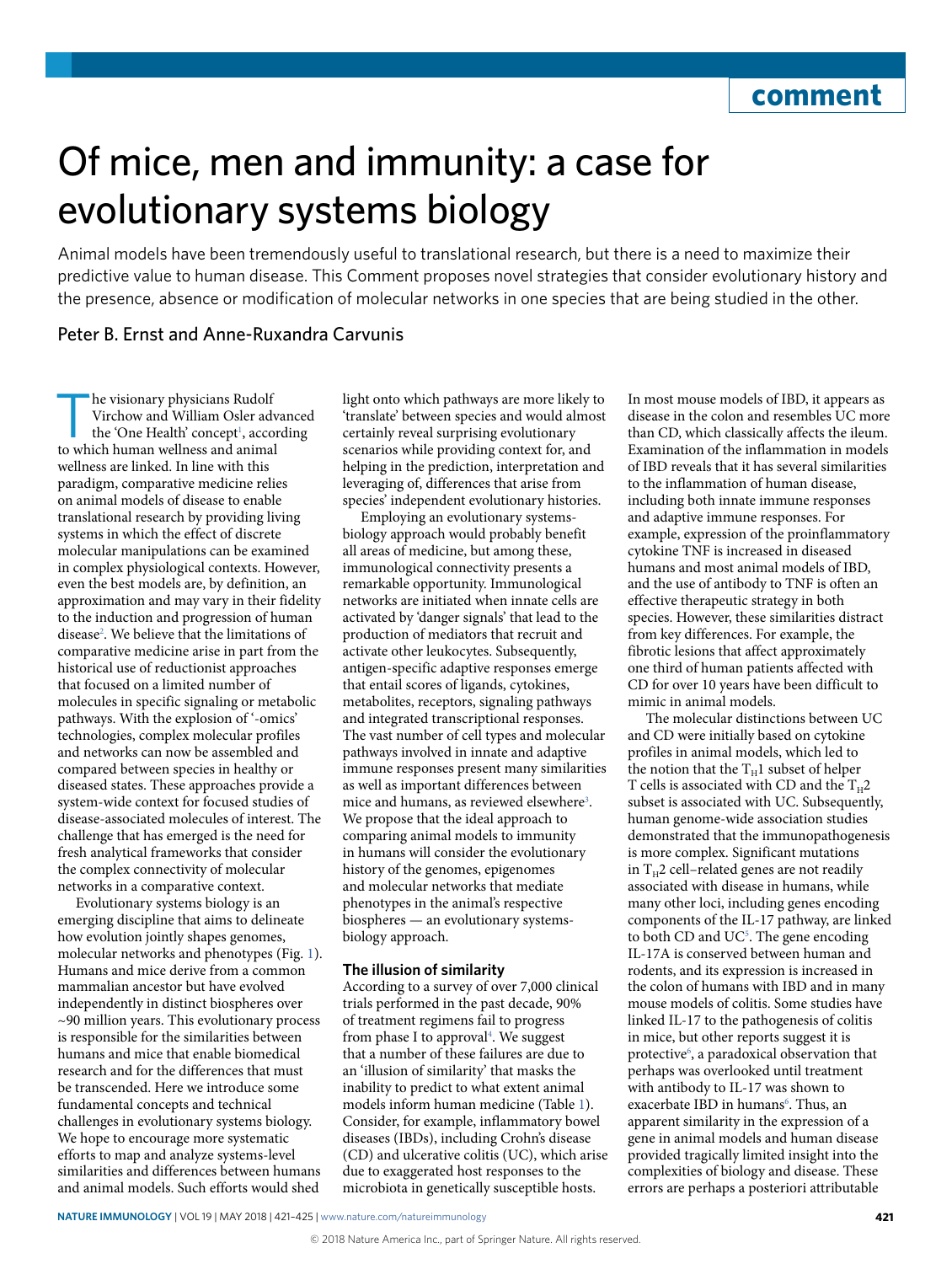# Of mice, men and immunity: a case for evolutionary systems biology

Animal models have been tremendously useful to translational research, but there is a need to maximize their predictive value to human disease. This Comment proposes novel strategies that consider evolutionary history and the presence, absence or modifcation of molecular networks in one species that are being studied in the other.

## Peter B. Ernst and Anne-Ruxandra Carvunis

he visionary physicians Rudolf Virchow and William Osler advanced the 'One Health' concept<sup>[1](#page-4-0)</sup>, according to which human wellness and animal wellness are linked. In line with this paradigm, comparative medicine relies on animal models of disease to enable translational research by providing living systems in which the effect of discrete molecular manipulations can be examined in complex physiological contexts. However, even the best models are, by definition, an approximation and may vary in their fidelity to the induction and progression of human disease<sup>2</sup>. We believe that the limitations of comparative medicine arise in part from the historical use of reductionist approaches that focused on a limited number of molecules in specific signaling or metabolic pathways. With the explosion of '-omics' technologies, complex molecular profiles and networks can now be assembled and compared between species in healthy or diseased states. These approaches provide a system-wide context for focused studies of disease-associated molecules of interest. The challenge that has emerged is the need for fresh analytical frameworks that consider the complex connectivity of molecular networks in a comparative context.

Evolutionary systems biology is an emerging discipline that aims to delineate how evolution jointly shapes genomes, molecular networks and phenotypes (Fig. [1\)](#page-1-0). Humans and mice derive from a common mammalian ancestor but have evolved independently in distinct biospheres over ~90 million years. This evolutionary process is responsible for the similarities between humans and mice that enable biomedical research and for the differences that must be transcended. Here we introduce some fundamental concepts and technical challenges in evolutionary systems biology. We hope to encourage more systematic efforts to map and analyze systems-level similarities and differences between humans and animal models. Such efforts would shed

light onto which pathways are more likely to 'translate' between species and would almost certainly reveal surprising evolutionary scenarios while providing context for, and helping in the prediction, interpretation and leveraging of, differences that arise from species' independent evolutionary histories.

Employing an evolutionary systemsbiology approach would probably benefit all areas of medicine, but among these, immunological connectivity presents a remarkable opportunity. Immunological networks are initiated when innate cells are activated by 'danger signals' that lead to the production of mediators that recruit and activate other leukocytes. Subsequently, antigen-specific adaptive responses emerge that entail scores of ligands, cytokines, metabolites, receptors, signaling pathways and integrated transcriptional responses. The vast number of cell types and molecular pathways involved in innate and adaptive immune responses present many similarities as well as important differences between mice and humans, as reviewed elsewhere<sup>3</sup>. We propose that the ideal approach to comparing animal models to immunity in humans will consider the evolutionary history of the genomes, epigenomes and molecular networks that mediate phenotypes in the animal's respective biospheres — an evolutionary systemsbiology approach.

## **The illusion of similarity**

According to a survey of over 7,000 clinical trials performed in the past decade, 90% of treatment regimens fail to progress from phase I to approval<sup>4</sup>. We suggest that a number of these failures are due to an 'illusion of similarity' that masks the inability to predict to what extent animal models inform human medicine (Table [1](#page-1-1)). Consider, for example, inflammatory bowel diseases (IBDs), including Crohn's disease (CD) and ulcerative colitis (UC), which arise due to exaggerated host responses to the microbiota in genetically susceptible hosts.

In most mouse models of IBD, it appears as disease in the colon and resembles UC more than CD, which classically affects the ileum. Examination of the inflammation in models of IBD reveals that it has several similarities to the inflammation of human disease, including both innate immune responses and adaptive immune responses. For example, expression of the proinflammatory cytokine TNF is increased in diseased humans and most animal models of IBD, and the use of antibody to TNF is often an effective therapeutic strategy in both species. However, these similarities distract from key differences. For example, the fibrotic lesions that affect approximately one third of human patients affected with CD for over 10 years have been difficult to mimic in animal models.

The molecular distinctions between UC and CD were initially based on cytokine profiles in animal models, which led to the notion that the  $T_H1$  subset of helper T cells is associated with CD and the  $T_H2$ subset is associated with UC. Subsequently, human genome-wide association studies demonstrated that the immunopathogenesis is more complex. Significant mutations in  $T_H2$  cell–related genes are not readily associated with disease in humans, while many other loci, including genes encoding components of the IL-17 pathway, are linked to both CD and UC<sup>5</sup>. The gene encoding IL-17A is conserved between human and rodents, and its expression is increased in the colon of humans with IBD and in many mouse models of colitis. Some studies have linked IL-17 to the pathogenesis of colitis in mice, but other reports suggest it is protective<sup>[6](#page-4-5)</sup>, a paradoxical observation that perhaps was overlooked until treatment with antibody to IL-17 was shown to exacerbate IBD in humans<sup>6</sup>. Thus, an apparent similarity in the expression of a gene in animal models and human disease provided tragically limited insight into the complexities of biology and disease. These errors are perhaps a posteriori attributable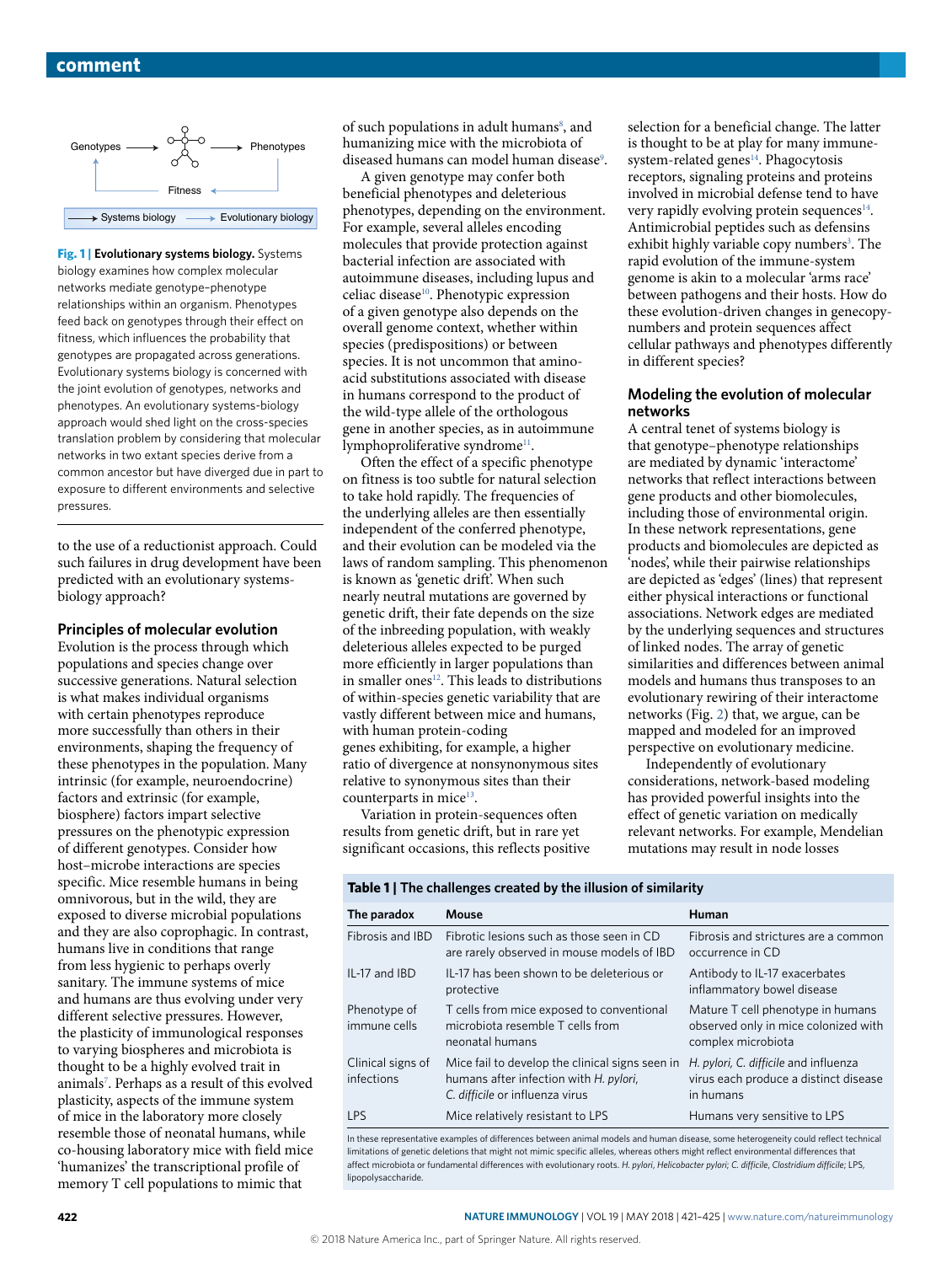

<span id="page-1-0"></span>**Fig. 1 | Evolutionary systems biology.** Systems biology examines how complex molecular networks mediate genotype–phenotype relationships within an organism. Phenotypes feed back on genotypes through their effect on fitness, which influences the probability that genotypes are propagated across generations. Evolutionary systems biology is concerned with the joint evolution of genotypes, networks and phenotypes. An evolutionary systems-biology approach would shed light on the cross-species translation problem by considering that molecular networks in two extant species derive from a common ancestor but have diverged due in part to exposure to different environments and selective pressures.

to the use of a reductionist approach. Could such failures in drug development have been predicted with an evolutionary systemsbiology approach?

#### **Principles of molecular evolution**

Evolution is the process through which populations and species change over successive generations. Natural selection is what makes individual organisms with certain phenotypes reproduce more successfully than others in their environments, shaping the frequency of these phenotypes in the population. Many intrinsic (for example, neuroendocrine) factors and extrinsic (for example, biosphere) factors impart selective pressures on the phenotypic expression of different genotypes. Consider how host–microbe interactions are species specific. Mice resemble humans in being omnivorous, but in the wild, they are exposed to diverse microbial populations and they are also coprophagic. In contrast, humans live in conditions that range from less hygienic to perhaps overly sanitary. The immune systems of mice and humans are thus evolving under very different selective pressures. However, the plasticity of immunological responses to varying biospheres and microbiota is thought to be a highly evolved trait in animal[s7](#page-4-6) . Perhaps as a result of this evolved plasticity, aspects of the immune system of mice in the laboratory more closely resemble those of neonatal humans, while co-housing laboratory mice with field mice 'humanizes' the transcriptional profile of memory T cell populations to mimic that

of such populations in adult humans<sup>[8](#page-4-7)</sup>, and humanizing mice with the microbiota of diseased humans can model human disease<sup>9</sup>.

A given genotype may confer both beneficial phenotypes and deleterious phenotypes, depending on the environment. For example, several alleles encoding molecules that provide protection against bacterial infection are associated with autoimmune diseases, including lupus and celiac disease<sup>10</sup>. Phenotypic expression of a given genotype also depends on the overall genome context, whether within species (predispositions) or between species. It is not uncommon that aminoacid substitutions associated with disease in humans correspond to the product of the wild-type allele of the orthologous gene in another species, as in autoimmune lymphoproliferative syndrome<sup>11</sup>.

Often the effect of a specific phenotype on fitness is too subtle for natural selection to take hold rapidly. The frequencies of the underlying alleles are then essentially independent of the conferred phenotype, and their evolution can be modeled via the laws of random sampling. This phenomenon is known as 'genetic drift'. When such nearly neutral mutations are governed by genetic drift, their fate depends on the size of the inbreeding population, with weakly deleterious alleles expected to be purged more efficiently in larger populations than in smaller ones<sup>12</sup>. This leads to distributions of within-species genetic variability that are vastly different between mice and humans, with human protein-coding genes exhibiting, for example, a higher ratio of divergence at nonsynonymous sites relative to synonymous sites than their counterparts in mice<sup>13</sup>.

Variation in protein-sequences often results from genetic drift, but in rare yet significant occasions, this reflects positive selection for a beneficial change. The latter is thought to be at play for many immunesystem-related genes<sup>14</sup>. Phagocytosis receptors, signaling proteins and proteins involved in microbial defense tend to have very rapidly evolving protein sequences $14$ . Antimicrobial peptides such as defensins exhibit highly variable copy numbers<sup>3</sup>. The rapid evolution of the immune-system genome is akin to a molecular 'arms race' between pathogens and their hosts. How do these evolution-driven changes in genecopynumbers and protein sequences affect cellular pathways and phenotypes differently in different species?

#### **Modeling the evolution of molecular networks**

A central tenet of systems biology is that genotype–phenotype relationships are mediated by dynamic 'interactome' networks that reflect interactions between gene products and other biomolecules, including those of environmental origin. In these network representations, gene products and biomolecules are depicted as 'nodes', while their pairwise relationships are depicted as 'edges' (lines) that represent either physical interactions or functional associations. Network edges are mediated by the underlying sequences and structures of linked nodes. The array of genetic similarities and differences between animal models and humans thus transposes to an evolutionary rewiring of their interactome networks (Fig. [2\)](#page-2-0) that, we argue, can be mapped and modeled for an improved perspective on evolutionary medicine.

Independently of evolutionary considerations, network-based modeling has provided powerful insights into the effect of genetic variation on medically relevant networks. For example, Mendelian mutations may result in node losses

## <span id="page-1-1"></span>**Table 1 | The challenges created by the illusion of similarity**

| The paradox                                                                                                                  | Mouse                                                                                                                        | Human                                                                                           |
|------------------------------------------------------------------------------------------------------------------------------|------------------------------------------------------------------------------------------------------------------------------|-------------------------------------------------------------------------------------------------|
| Fibrosis and IBD                                                                                                             | Fibrotic lesions such as those seen in CD<br>are rarely observed in mouse models of IBD                                      | Fibrosis and strictures are a common<br>occurrence in CD                                        |
| IL-17 and IBD                                                                                                                | IL-17 has been shown to be deleterious or<br>protective                                                                      | Antibody to IL-17 exacerbates<br>inflammatory bowel disease                                     |
| Phenotype of<br>immune cells                                                                                                 | T cells from mice exposed to conventional<br>microbiota resemble T cells from<br>neonatal humans                             | Mature T cell phenotype in humans<br>observed only in mice colonized with<br>complex microbiota |
| Clinical signs of<br>infections                                                                                              | Mice fail to develop the clinical signs seen in<br>humans after infection with H. pylori,<br>C. difficile or influenza virus | H. pylori, C. difficile and influenza<br>virus each produce a distinct disease<br>in humans     |
| <b>LPS</b>                                                                                                                   | Mice relatively resistant to LPS                                                                                             | Humans very sensitive to LPS                                                                    |
| to these concernative currents of difference between primal models and buman disease, sems betweensity and deflast technical |                                                                                                                              |                                                                                                 |

In these representative examples of differences between animal models and human disease, some heterogeneity could reflect techn limitations of genetic deletions that might not mimic specific alleles, whereas others might reflect environmental differences that affect microbiota or fundamental differences with evolutionary roots. *H. pylori*, *Helicobacter pylori*; *C. difficile*, *Clostridium difficile*; LPS, lipopolysaccharide.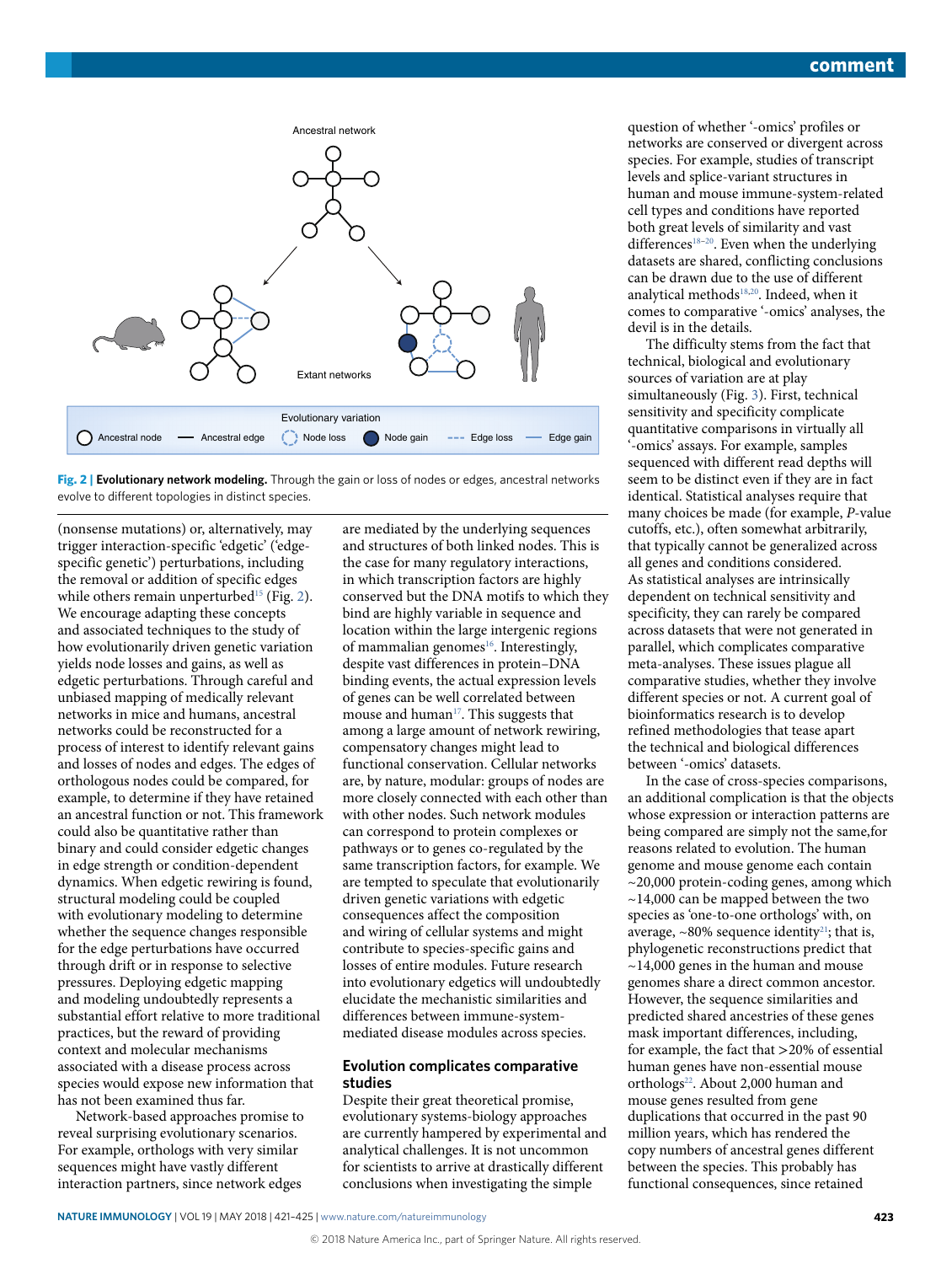

<span id="page-2-0"></span>**Fig. 2 | Evolutionary network modeling.** Through the gain or loss of nodes or edges, ancestral networks evolve to different topologies in distinct species.

(nonsense mutations) or, alternatively, may trigger interaction-specific 'edgetic' ('edgespecific genetic') perturbations, including the removal or addition of specific edges while others remain unperturbed<sup>15</sup> (Fig. [2](#page-2-0)). We encourage adapting these concepts and associated techniques to the study of how evolutionarily driven genetic variation yields node losses and gains, as well as edgetic perturbations. Through careful and unbiased mapping of medically relevant networks in mice and humans, ancestral networks could be reconstructed for a process of interest to identify relevant gains and losses of nodes and edges. The edges of orthologous nodes could be compared, for example, to determine if they have retained an ancestral function or not. This framework could also be quantitative rather than binary and could consider edgetic changes in edge strength or condition-dependent dynamics. When edgetic rewiring is found, structural modeling could be coupled with evolutionary modeling to determine whether the sequence changes responsible for the edge perturbations have occurred through drift or in response to selective pressures. Deploying edgetic mapping and modeling undoubtedly represents a substantial effort relative to more traditional practices, but the reward of providing context and molecular mechanisms associated with a disease process across species would expose new information that has not been examined thus far.

Network-based approaches promise to reveal surprising evolutionary scenarios. For example, orthologs with very similar sequences might have vastly different interaction partners, since network edges

are mediated by the underlying sequences and structures of both linked nodes. This is the case for many regulatory interactions, in which transcription factors are highly conserved but the DNA motifs to which they bind are highly variable in sequence and location within the large intergenic regions of mammalian genomes<sup>16</sup>. Interestingly, despite vast differences in protein–DNA binding events, the actual expression levels of genes can be well correlated between mouse and human<sup>17</sup>. This suggests that among a large amount of network rewiring, compensatory changes might lead to functional conservation. Cellular networks are, by nature, modular: groups of nodes are more closely connected with each other than with other nodes. Such network modules can correspond to protein complexes or pathways or to genes co-regulated by the same transcription factors, for example. We are tempted to speculate that evolutionarily driven genetic variations with edgetic consequences affect the composition and wiring of cellular systems and might contribute to species-specific gains and losses of entire modules. Future research into evolutionary edgetics will undoubtedly elucidate the mechanistic similarities and differences between immune-systemmediated disease modules across species.

## **Evolution complicates comparative studies**

Despite their great theoretical promise, evolutionary systems-biology approaches are currently hampered by experimental and analytical challenges. It is not uncommon for scientists to arrive at drastically different conclusions when investigating the simple

question of whether '-omics' profiles or networks are conserved or divergent across species. For example, studies of transcript levels and splice-variant structures in human and mouse immune-system-related cell types and conditions have reported both great levels of similarity and vast differences<sup>18-20</sup>. Even when the underlying datasets are shared, conflicting conclusions can be drawn due to the use of different analytical methods<sup>18,20</sup>. Indeed, when it comes to comparative '-omics' analyses, the devil is in the details.

The difficulty stems from the fact that technical, biological and evolutionary sources of variation are at play simultaneously (Fig. [3\)](#page-3-0). First, technical sensitivity and specificity complicate quantitative comparisons in virtually all '-omics' assays. For example, samples sequenced with different read depths will seem to be distinct even if they are in fact identical. Statistical analyses require that many choices be made (for example, *P*-value cutoffs, etc.), often somewhat arbitrarily, that typically cannot be generalized across all genes and conditions considered. As statistical analyses are intrinsically dependent on technical sensitivity and specificity, they can rarely be compared across datasets that were not generated in parallel, which complicates comparative meta-analyses. These issues plague all comparative studies, whether they involve different species or not. A current goal of bioinformatics research is to develop refined methodologies that tease apart the technical and biological differences between '-omics' datasets.

In the case of cross-species comparisons, an additional complication is that the objects whose expression or interaction patterns are being compared are simply not the same,for reasons related to evolution. The human genome and mouse genome each contain ~20,000 protein-coding genes, among which ~14,000 can be mapped between the two species as 'one-to-one orthologs' with, on average,  $\sim$ 80% sequence identity<sup>21</sup>; that is, phylogenetic reconstructions predict that  $\sim$ 14,000 genes in the human and mouse genomes share a direct common ancestor. However, the sequence similarities and predicted shared ancestries of these genes mask important differences, including, for example, the fact that >20% of essential human genes have non-essential mouse orthologs<sup>22</sup>. About 2,000 human and mouse genes resulted from gene duplications that occurred in the past 90 million years, which has rendered the copy numbers of ancestral genes different between the species. This probably has functional consequences, since retained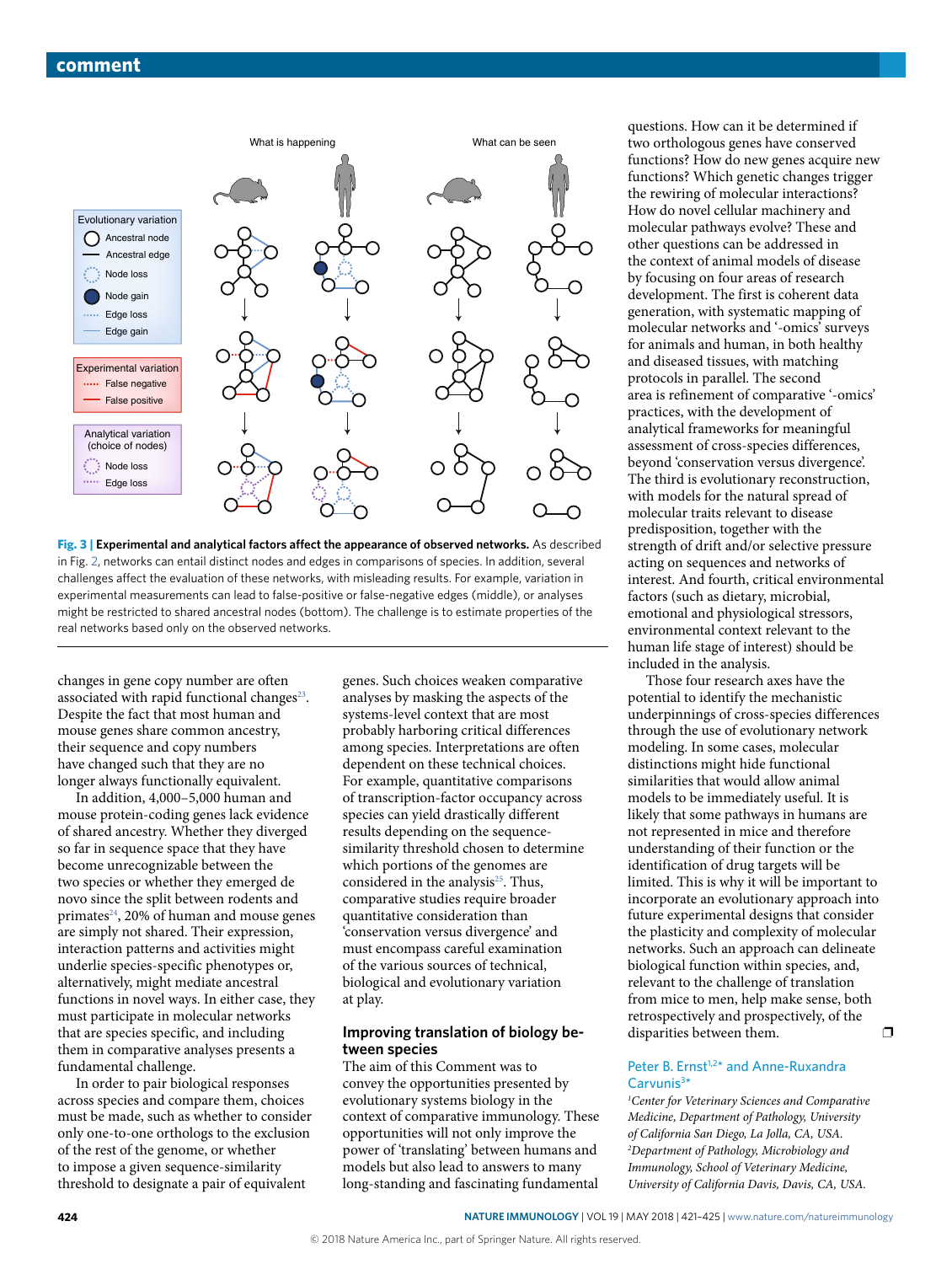

<span id="page-3-0"></span>**Fig. 3 | Experimental and analytical factors affect the appearance of observed networks.** As described in Fig. [2](#page-2-0), networks can entail distinct nodes and edges in comparisons of species. In addition, several challenges affect the evaluation of these networks, with misleading results. For example, variation in experimental measurements can lead to false-positive or false-negative edges (middle), or analyses might be restricted to shared ancestral nodes (bottom). The challenge is to estimate properties of the real networks based only on the observed networks.

changes in gene copy number are often associated with rapid functional changes<sup>23</sup>. Despite the fact that most human and mouse genes share common ancestry, their sequence and copy numbers have changed such that they are no longer always functionally equivalent.

In addition, 4,000–5,000 human and mouse protein-coding genes lack evidence of shared ancestry. Whether they diverged so far in sequence space that they have become unrecognizable between the two species or whether they emerged de novo since the split between rodents and primates<sup>24</sup>, 20% of human and mouse genes are simply not shared. Their expression, interaction patterns and activities might underlie species-specific phenotypes or, alternatively, might mediate ancestral functions in novel ways. In either case, they must participate in molecular networks that are species specific, and including them in comparative analyses presents a fundamental challenge.

In order to pair biological responses across species and compare them, choices must be made, such as whether to consider only one-to-one orthologs to the exclusion of the rest of the genome, or whether to impose a given sequence-similarity threshold to designate a pair of equivalent

genes. Such choices weaken comparative analyses by masking the aspects of the systems-level context that are most probably harboring critical differences among species. Interpretations are often dependent on these technical choices. For example, quantitative comparisons of transcription-factor occupancy across species can yield drastically different results depending on the sequencesimilarity threshold chosen to determine which portions of the genomes are considered in the analysis<sup>25</sup>. Thus, comparative studies require broader quantitative consideration than 'conservation versus divergence' and must encompass careful examination of the various sources of technical, biological and evolutionary variation at play.

#### **Improving translation of biology between species**

The aim of this Comment was to convey the opportunities presented by evolutionary systems biology in the context of comparative immunology. These opportunities will not only improve the power of 'translating' between humans and models but also lead to answers to many long-standing and fascinating fundamental

questions. How can it be determined if two orthologous genes have conserved functions? How do new genes acquire new functions? Which genetic changes trigger the rewiring of molecular interactions? How do novel cellular machinery and molecular pathways evolve? These and other questions can be addressed in the context of animal models of disease by focusing on four areas of research development. The first is coherent data generation, with systematic mapping of molecular networks and '-omics' surveys for animals and human, in both healthy and diseased tissues, with matching protocols in parallel. The second area is refinement of comparative '-omics' practices, with the development of analytical frameworks for meaningful assessment of cross-species differences, beyond 'conservation versus divergence'. The third is evolutionary reconstruction, with models for the natural spread of molecular traits relevant to disease predisposition, together with the strength of drift and/or selective pressure acting on sequences and networks of interest. And fourth, critical environmental factors (such as dietary, microbial, emotional and physiological stressors, environmental context relevant to the human life stage of interest) should be included in the analysis.

Those four research axes have the potential to identify the mechanistic underpinnings of cross-species differences through the use of evolutionary network modeling. In some cases, molecular distinctions might hide functional similarities that would allow animal models to be immediately useful. It is likely that some pathways in humans are not represented in mice and therefore understanding of their function or the identification of drug targets will be limited. This is why it will be important to incorporate an evolutionary approach into future experimental designs that consider the plasticity and complexity of molecular networks. Such an approach can delineate biological function within species, and, relevant to the challenge of translation from mice to men, help make sense, both retrospectively and prospectively, of the disparities between them.  $\square$ 

### Peter B. Ernst<sup>1,2\*</sup> and Anne-Ruxandra  $Carvunis<sup>3</sup>$

*1 Center for Veterinary Sciences and Comparative Medicine, Department of Pathology, University of California San Diego, La Jolla, CA, USA. 2 Department of Pathology, Microbiology and Immunology, School of Veterinary Medicine, University of California Davis, Davis, CA, USA.*